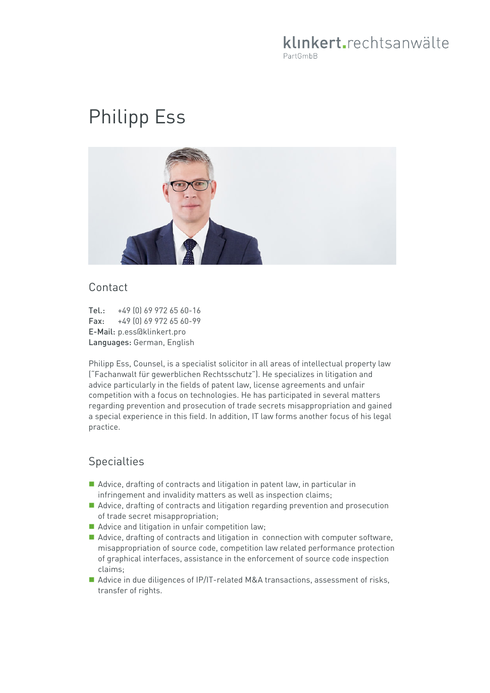# klinkert.rechtsanwälte PartGmbB

# Philipp Ess



#### Contact

Tel.: +49 (0) 69 972 65 60-16 Fax: +49 (0) 69 972 65 60-99 E-Mail: p.ess@klinkert.pro Languages: German, English

Philipp Ess, Counsel, is a specialist solicitor in all areas of intellectual property law ("Fachanwalt für gewerblichen Rechtsschutz"). He specializes in litigation and advice particularly in the fields of patent law, license agreements and unfair competition with a focus on technologies. He has participated in several matters regarding prevention and prosecution of trade secrets misappropriation and gained a special experience in this field. In addition, IT law forms another focus of his legal practice.

### **Specialties**

- Advice, drafting of contracts and litigation in patent law, in particular in infringement and invalidity matters as well as inspection claims;
- Advice, drafting of contracts and litigation regarding prevention and prosecution of trade secret misappropriation;
- Advice and litigation in unfair competition law;
- Advice, drafting of contracts and litigation in connection with computer software, misappropriation of source code, competition law related performance protection of graphical interfaces, assistance in the enforcement of source code inspection claims;
- Advice in due diligences of IP/IT-related M&A transactions, assessment of risks, transfer of rights.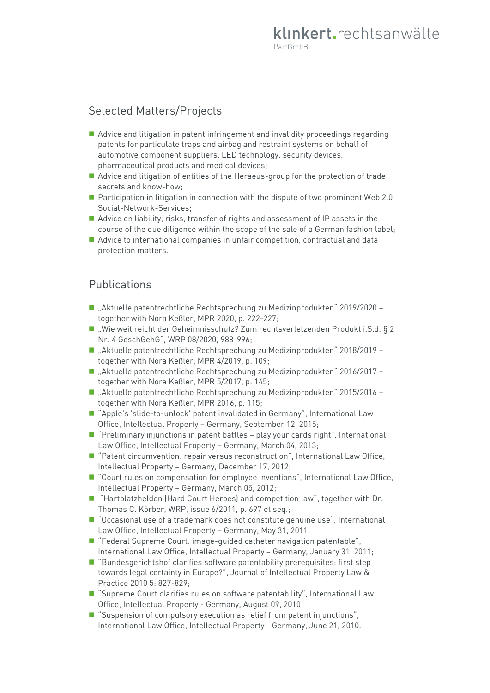# Selected Matters/Projects

- Advice and litigation in patent infringement and invalidity proceedings regarding patents for particulate traps and airbag and restraint systems on behalf of automotive component suppliers, LED technology, security devices, pharmaceutical products and medical devices;
- Advice and litigation of entities of the Heraeus-group for the protection of trade secrets and know-how;
- **Participation in litigation in connection with the dispute of two prominent Web 2.0** Social-Network-Services;
- Advice on liability, risks, transfer of rights and assessment of IP assets in the course of the due diligence within the scope of the sale of a German fashion label;
- Advice to international companies in unfair competition, contractual and data protection matters.

#### Publications

- "Aktuelle patentrechtliche Rechtsprechung zu Medizinprodukten" 2019/2020 together with Nora Keßler, MPR 2020, p. 222-227;
- "Wie weit reicht der Geheimnisschutz? Zum rechtsverletzenden Produkt i.S.d. § 2 Nr. 4 GeschGehG", WRP 08/2020, 988-996;
- "Aktuelle patentrechtliche Rechtsprechung zu Medizinprodukten" 2018/2019 together with Nora Keßler, MPR 4/2019, p. 109;
- "Aktuelle patentrechtliche Rechtsprechung zu Medizinprodukten" 2016/2017 together with Nora Keßler, MPR 5/2017, p. 145;
- "Aktuelle patentrechtliche Rechtsprechung zu Medizinprodukten" 2015/2016 together with Nora Keßler, MPR 2016, p. 115;
- "Apple's 'slide-to-unlock' patent invalidated in Germany", International Law Office, Intellectual Property – Germany, September 12, 2015;
- "Preliminary injunctions in patent battles play your cards right", International Law Office, Intellectual Property – Germany, March 04, 2013;
- "Patent circumvention: repair versus reconstruction", International Law Office, Intellectual Property – Germany, December 17, 2012;
- "Court rules on compensation for employee inventions", International Law Office, Intellectual Property – Germany, March 05, 2012;
- "Hartplatzhelden (Hard Court Heroes) and competition law", together with Dr. Thomas C. Körber, WRP, issue 6/2011, p. 697 et seq.;
- "Occasional use of a trademark does not constitute genuine use", International Law Office, Intellectual Property – Germany, May 31, 2011;
- "Federal Supreme Court: image-guided catheter navigation patentable", International Law Office, Intellectual Property – Germany, January 31, 2011;
- "Bundesgerichtshof clarifies software patentability prerequisites: first step towards legal certainty in Europe?", Journal of Intellectual Property Law & Practice 2010 5: 827-829;
- "Supreme Court clarifies rules on software patentability", International Law Office, Intellectual Property - Germany, August 09, 2010;
- "Suspension of compulsory execution as relief from patent injunctions", International Law Office, Intellectual Property - Germany, June 21, 2010.